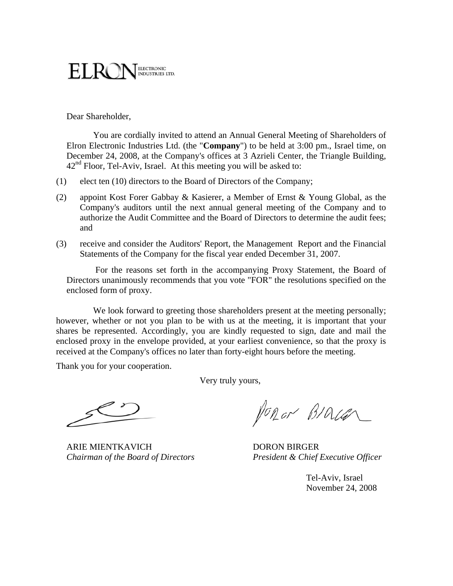# ELECTRONIC<br>INDUSTRIES LTD.

Dear Shareholder,

You are cordially invited to attend an Annual General Meeting of Shareholders of Elron Electronic Industries Ltd. (the "**Company**") to be held at 3:00 pm., Israel time, on December 24, 2008, at the Company's offices at 3 Azrieli Center, the Triangle Building,  $42<sup>nd</sup>$  Floor, Tel-Aviv, Israel. At this meeting you will be asked to:

- (1) elect ten (10) directors to the Board of Directors of the Company;
- (2) appoint Kost Forer Gabbay & Kasierer, a Member of Ernst & Young Global, as the Company's auditors until the next annual general meeting of the Company and to authorize the Audit Committee and the Board of Directors to determine the audit fees; and
- (3) receive and consider the Auditors' Report, the Management Report and the Financial Statements of the Company for the fiscal year ended December 31, 2007.

 For the reasons set forth in the accompanying Proxy Statement, the Board of Directors unanimously recommends that you vote "FOR" the resolutions specified on the enclosed form of proxy.

We look forward to greeting those shareholders present at the meeting personally; however, whether or not you plan to be with us at the meeting, it is important that your shares be represented. Accordingly, you are kindly requested to sign, date and mail the enclosed proxy in the envelope provided, at your earliest convenience, so that the proxy is received at the Company's offices no later than forty-eight hours before the meeting.

Thank you for your cooperation.

Very truly yours,

ARIE MIENTKAVICH DORON BIRGER

Ponor BIALEN

*Chairman of the Board of Directors President & Chief Executive Officer* 

Tel-Aviv, Israel November 24, 2008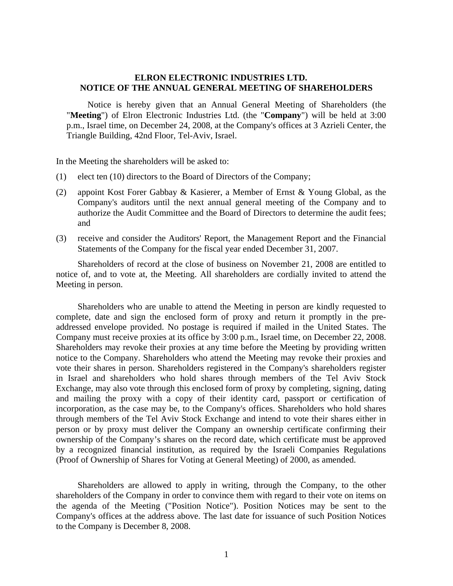#### **ELRON ELECTRONIC INDUSTRIES LTD. NOTICE OF THE ANNUAL GENERAL MEETING OF SHAREHOLDERS**

Notice is hereby given that an Annual General Meeting of Shareholders (the "**Meeting**") of Elron Electronic Industries Ltd. (the "**Company**") will be held at 3:00 p.m., Israel time, on December 24, 2008, at the Company's offices at 3 Azrieli Center, the Triangle Building, 42nd Floor, Tel-Aviv, Israel.

In the Meeting the shareholders will be asked to:

- (1) elect ten (10) directors to the Board of Directors of the Company;
- (2) appoint Kost Forer Gabbay & Kasierer, a Member of Ernst & Young Global, as the Company's auditors until the next annual general meeting of the Company and to authorize the Audit Committee and the Board of Directors to determine the audit fees; and
- (3) receive and consider the Auditors' Report, the Management Report and the Financial Statements of the Company for the fiscal year ended December 31, 2007.

Shareholders of record at the close of business on November 21, 2008 are entitled to notice of, and to vote at, the Meeting. All shareholders are cordially invited to attend the Meeting in person.

Shareholders who are unable to attend the Meeting in person are kindly requested to complete, date and sign the enclosed form of proxy and return it promptly in the preaddressed envelope provided. No postage is required if mailed in the United States. The Company must receive proxies at its office by 3:00 p.m., Israel time, on December 22, 2008. Shareholders may revoke their proxies at any time before the Meeting by providing written notice to the Company. Shareholders who attend the Meeting may revoke their proxies and vote their shares in person. Shareholders registered in the Company's shareholders register in Israel and shareholders who hold shares through members of the Tel Aviv Stock Exchange, may also vote through this enclosed form of proxy by completing, signing, dating and mailing the proxy with a copy of their identity card, passport or certification of incorporation, as the case may be, to the Company's offices. Shareholders who hold shares through members of the Tel Aviv Stock Exchange and intend to vote their shares either in person or by proxy must deliver the Company an ownership certificate confirming their ownership of the Company's shares on the record date, which certificate must be approved by a recognized financial institution, as required by the Israeli Companies Regulations (Proof of Ownership of Shares for Voting at General Meeting) of 2000, as amended.

Shareholders are allowed to apply in writing, through the Company, to the other shareholders of the Company in order to convince them with regard to their vote on items on the agenda of the Meeting ("Position Notice"). Position Notices may be sent to the Company's offices at the address above. The last date for issuance of such Position Notices to the Company is December 8, 2008.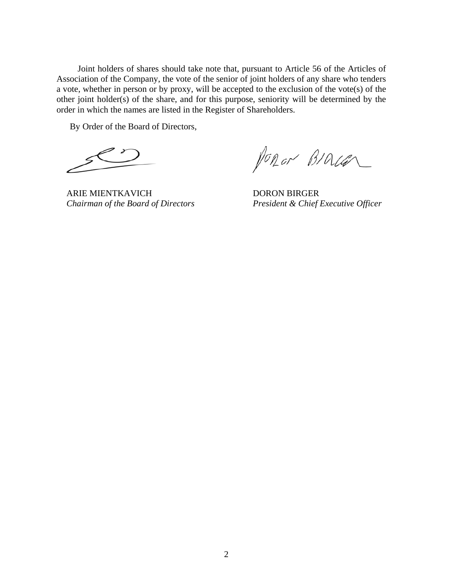Joint holders of shares should take note that, pursuant to Article 56 of the Articles of Association of the Company, the vote of the senior of joint holders of any share who tenders a vote, whether in person or by proxy, will be accepted to the exclusion of the vote(s) of the other joint holder(s) of the share, and for this purpose, seniority will be determined by the order in which the names are listed in the Register of Shareholders.

By Order of the Board of Directors,

ARIE MIENTKAVICH DORON BIRGER

PORON BIOLER

*Chairman of the Board of Directors President & Chief Executive Officer*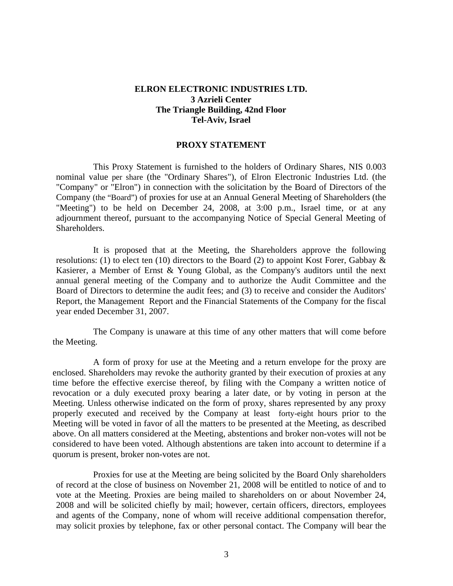#### **ELRON ELECTRONIC INDUSTRIES LTD. 3 Azrieli Center The Triangle Building, 42nd Floor Tel-Aviv, Israel**

#### **PROXY STATEMENT**

This Proxy Statement is furnished to the holders of Ordinary Shares, NIS 0.003 nominal value per share (the "Ordinary Shares"), of Elron Electronic Industries Ltd. (the "Company" or "Elron") in connection with the solicitation by the Board of Directors of the Company (the "Board") of proxies for use at an Annual General Meeting of Shareholders (the "Meeting") to be held on December 24, 2008, at 3:00 p.m., Israel time, or at any adjournment thereof, pursuant to the accompanying Notice of Special General Meeting of Shareholders.

It is proposed that at the Meeting, the Shareholders approve the following resolutions: (1) to elect ten (10) directors to the Board (2) to appoint Kost Forer, Gabbay & Kasierer, a Member of Ernst & Young Global, as the Company's auditors until the next annual general meeting of the Company and to authorize the Audit Committee and the Board of Directors to determine the audit fees; and (3) to receive and consider the Auditors' Report, the Management Report and the Financial Statements of the Company for the fiscal year ended December 31, 2007.

The Company is unaware at this time of any other matters that will come before the Meeting.

A form of proxy for use at the Meeting and a return envelope for the proxy are enclosed. Shareholders may revoke the authority granted by their execution of proxies at any time before the effective exercise thereof, by filing with the Company a written notice of revocation or a duly executed proxy bearing a later date, or by voting in person at the Meeting. Unless otherwise indicated on the form of proxy, shares represented by any proxy properly executed and received by the Company at least forty-eight hours prior to the Meeting will be voted in favor of all the matters to be presented at the Meeting, as described above. On all matters considered at the Meeting, abstentions and broker non-votes will not be considered to have been voted. Although abstentions are taken into account to determine if a quorum is present, broker non-votes are not.

Proxies for use at the Meeting are being solicited by the Board Only shareholders of record at the close of business on November 21, 2008 will be entitled to notice of and to vote at the Meeting. Proxies are being mailed to shareholders on or about November 24, 2008 and will be solicited chiefly by mail; however, certain officers, directors, employees and agents of the Company, none of whom will receive additional compensation therefor, may solicit proxies by telephone, fax or other personal contact. The Company will bear the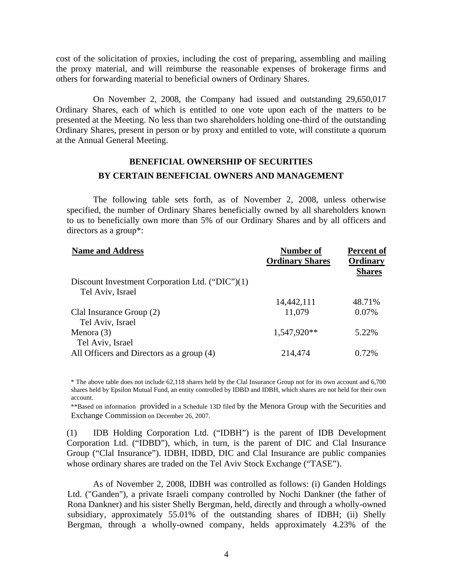cost of the solicitation of proxies, including the cost of preparing, assembling and mailing the proxy material, and will reimburse the reasonable expenses of brokerage firms and others for forwarding material to beneficial owners of Ordinary Shares.

On November 2, 2008, the Company had issued and outstanding 29,650,017 Ordinary Shares, each of which is entitled to one vote upon each of the matters to be presented at the Meeting. No less than two shareholders holding one-third of the outstanding Ordinary Shares, present in person or by proxy and entitled to vote, will constitute a quorum at the Annual General Meeting.

### **BENEFICIAL OWNERSHIP OF SECURITIES BY CERTAIN BENEFICIAL OWNERS AND MANAGEMENT**

The following table sets forth, as of November 2, 2008, unless otherwise specified, the number of Ordinary Shares beneficially owned by all shareholders known to us to beneficially own more than 5% of our Ordinary Shares and by all officers and directors as a group\*:

| <b>Number of</b>       | <b>Percent of</b> |
|------------------------|-------------------|
| <b>Ordinary Shares</b> | <b>Ordinary</b>   |
|                        | <b>Shares</b>     |
|                        |                   |
|                        |                   |
| 14,442,111             | 48.71%            |
| 11,079                 | 0.07%             |
|                        |                   |
| 1,547,920**            | 5.22%             |
|                        |                   |
| 214,474                | 0.72%             |
|                        |                   |

\* The above table does not include 62,118 shares held by the Clal Insurance Group not for its own account and 6,700 shares held by Epsilon Mutual Fund, an entity controlled by IDBD and IDBH, which shares are not held for their own account.

\*\*Based on information provided in a Schedule 13D filed by the Menora Group with the Securities and Exchange Commission on December 26, 2007.

 (1) IDB Holding Corporation Ltd. ("IDBH") is the parent of IDB Development Corporation Ltd. ("IDBD"), which, in turn, is the parent of DIC and Clal Insurance Group ("Clal Insurance"). IDBH, IDBD, DIC and Clal Insurance are public companies whose ordinary shares are traded on the Tel Aviv Stock Exchange ("TASE").

As of November 2, 2008, IDBH was controlled as follows: (i) Ganden Holdings Ltd. ("Ganden"), a private Israeli company controlled by Nochi Dankner (the father of Rona Dankner) and his sister Shelly Bergman, held, directly and through a wholly-owned subsidiary, approximately 55.01% of the outstanding shares of IDBH; (ii) Shelly Bergman, through a wholly-owned company, helds approximately 4.23% of the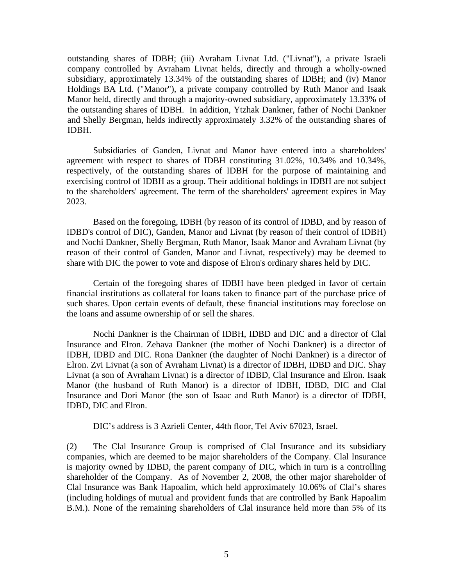outstanding shares of IDBH; (iii) Avraham Livnat Ltd. ("Livnat"), a private Israeli company controlled by Avraham Livnat helds, directly and through a wholly-owned subsidiary, approximately 13.34% of the outstanding shares of IDBH; and (iv) Manor Holdings BA Ltd. ("Manor"), a private company controlled by Ruth Manor and Isaak Manor held, directly and through a majority-owned subsidiary, approximately 13.33% of the outstanding shares of IDBH. In addition, Ytzhak Dankner, father of Nochi Dankner and Shelly Bergman, helds indirectly approximately 3.32% of the outstanding shares of IDBH.

Subsidiaries of Ganden, Livnat and Manor have entered into a shareholders' agreement with respect to shares of IDBH constituting 31.02%, 10.34% and 10.34%, respectively, of the outstanding shares of IDBH for the purpose of maintaining and exercising control of IDBH as a group. Their additional holdings in IDBH are not subject to the shareholders' agreement. The term of the shareholders' agreement expires in May 2023.

Based on the foregoing, IDBH (by reason of its control of IDBD, and by reason of IDBD's control of DIC), Ganden, Manor and Livnat (by reason of their control of IDBH) and Nochi Dankner, Shelly Bergman, Ruth Manor, Isaak Manor and Avraham Livnat (by reason of their control of Ganden, Manor and Livnat, respectively) may be deemed to share with DIC the power to vote and dispose of Elron's ordinary shares held by DIC.

Certain of the foregoing shares of IDBH have been pledged in favor of certain financial institutions as collateral for loans taken to finance part of the purchase price of such shares. Upon certain events of default, these financial institutions may foreclose on the loans and assume ownership of or sell the shares.

Nochi Dankner is the Chairman of IDBH, IDBD and DIC and a director of Clal Insurance and Elron. Zehava Dankner (the mother of Nochi Dankner) is a director of IDBH, IDBD and DIC. Rona Dankner (the daughter of Nochi Dankner) is a director of Elron. Zvi Livnat (a son of Avraham Livnat) is a director of IDBH, IDBD and DIC. Shay Livnat (a son of Avraham Livnat) is a director of IDBD, Clal Insurance and Elron. Isaak Manor (the husband of Ruth Manor) is a director of IDBH, IDBD, DIC and Clal Insurance and Dori Manor (the son of Isaac and Ruth Manor) is a director of IDBH, IDBD, DIC and Elron.

DIC's address is 3 Azrieli Center, 44th floor, Tel Aviv 67023, Israel.

 (2) The Clal Insurance Group is comprised of Clal Insurance and its subsidiary companies, which are deemed to be major shareholders of the Company. Clal Insurance is majority owned by IDBD, the parent company of DIC, which in turn is a controlling shareholder of the Company. As of November 2, 2008, the other major shareholder of Clal Insurance was Bank Hapoalim, which held approximately 10.06% of Clal's shares (including holdings of mutual and provident funds that are controlled by Bank Hapoalim B.M.). None of the remaining shareholders of Clal insurance held more than 5% of its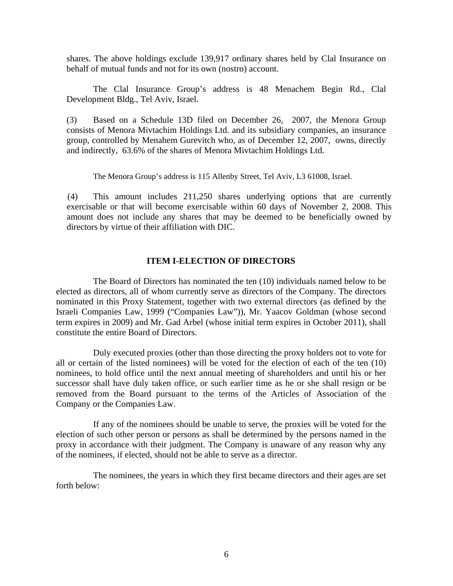shares. The above holdings exclude 139,917 ordinary shares held by Clal Insurance on behalf of mutual funds and not for its own (nostro) account.

The Clal Insurance Group's address is 48 Menachem Begin Rd., Clal Development Bldg., Tel Aviv, Israel.

(3) Based on a Schedule 13D filed on December 26, 2007, the Menora Group consists of Menora Mivtachim Holdings Ltd. and its subsidiary companies, an insurance group, controlled by Menahem Gurevitch who, as of December 12, 2007, owns, directly and indirectly, 63.6% of the shares of Menora Mivtachim Holdings Ltd.

The Menora Group's address is 115 Allenby Street, Tel Aviv, L3 61008, Israel.

(4) This amount includes 211,250 shares underlying options that are currently exercisable or that will become exercisable within 60 days of November 2, 2008. This amount does not include any shares that may be deemed to be beneficially owned by directors by virtue of their affiliation with DIC.

#### **ITEM I-ELECTION OF DIRECTORS**

The Board of Directors has nominated the ten (10) individuals named below to be elected as directors, all of whom currently serve as directors of the Company. The directors nominated in this Proxy Statement, together with two external directors (as defined by the Israeli Companies Law, 1999 ("Companies Law")), Mr. Yaacov Goldman (whose second term expires in 2009) and Mr. Gad Arbel (whose initial term expires in October 2011), shall constitute the entire Board of Directors.

Duly executed proxies (other than those directing the proxy holders not to vote for all or certain of the listed nominees) will be voted for the election of each of the ten (10) nominees, to hold office until the next annual meeting of shareholders and until his or her successor shall have duly taken office, or such earlier time as he or she shall resign or be removed from the Board pursuant to the terms of the Articles of Association of the Company or the Companies Law.

If any of the nominees should be unable to serve, the proxies will be voted for the election of such other person or persons as shall be determined by the persons named in the proxy in accordance with their judgment. The Company is unaware of any reason why any of the nominees, if elected, should not be able to serve as a director.

The nominees, the years in which they first became directors and their ages are set forth below: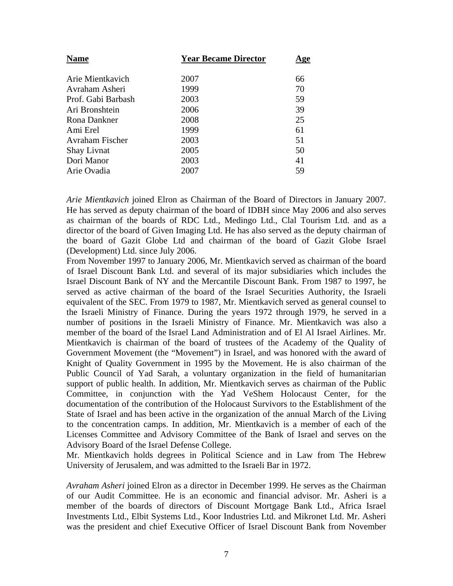| <b>Name</b>            | <b>Year Became Director</b> | <u>Age</u> |
|------------------------|-----------------------------|------------|
| Arie Mientkavich       | 2007                        | 66         |
| Avraham Asheri         | 1999                        | 70         |
| Prof. Gabi Barbash     | 2003                        | 59         |
| Ari Bronshtein         | 2006                        | 39         |
| Rona Dankner           | 2008                        | 25         |
| Ami Erel               | 1999                        | 61         |
| <b>Avraham Fischer</b> | 2003                        | 51         |
| <b>Shay Livnat</b>     | 2005                        | 50         |
| Dori Manor             | 2003                        | 41         |
| Arie Ovadia            | 2007                        | 59         |
|                        |                             |            |

*Arie Mientkavich* joined Elron as Chairman of the Board of Directors in January 2007. He has served as deputy chairman of the board of IDBH since May 2006 and also serves as chairman of the boards of RDC Ltd., Medingo Ltd., Clal Tourism Ltd. and as a director of the board of Given Imaging Ltd. He has also served as the deputy chairman of the board of Gazit Globe Ltd and chairman of the board of Gazit Globe Israel (Development) Ltd. since July 2006.

From November 1997 to January 2006, Mr. Mientkavich served as chairman of the board of Israel Discount Bank Ltd. and several of its major subsidiaries which includes the Israel Discount Bank of NY and the Mercantile Discount Bank. From 1987 to 1997, he served as active chairman of the board of the Israel Securities Authority, the Israeli equivalent of the SEC. From 1979 to 1987, Mr. Mientkavich served as general counsel to the Israeli Ministry of Finance. During the years 1972 through 1979, he served in a number of positions in the Israeli Ministry of Finance. Mr. Mientkavich was also a member of the board of the Israel Land Administration and of El Al Israel Airlines. Mr. Mientkavich is chairman of the board of trustees of the Academy of the Quality of Government Movement (the "Movement") in Israel, and was honored with the award of Knight of Quality Government in 1995 by the Movement. He is also chairman of the Public Council of Yad Sarah, a voluntary organization in the field of humanitarian support of public health. In addition, Mr. Mientkavich serves as chairman of the Public Committee, in conjunction with the Yad VeShem Holocaust Center, for the documentation of the contribution of the Holocaust Survivors to the Establishment of the State of Israel and has been active in the organization of the annual March of the Living to the concentration camps. In addition, Mr. Mientkavich is a member of each of the Licenses Committee and Advisory Committee of the Bank of Israel and serves on the Advisory Board of the Israel Defense College.

Mr. Mientkavich holds degrees in Political Science and in Law from The Hebrew University of Jerusalem, and was admitted to the Israeli Bar in 1972.

*Avraham Asheri* joined Elron as a director in December 1999. He serves as the Chairman of our Audit Committee. He is an economic and financial advisor. Mr. Asheri is a member of the boards of directors of Discount Mortgage Bank Ltd., Africa Israel Investments Ltd., Elbit Systems Ltd., Koor Industries Ltd. and Mikronet Ltd. Mr. Asheri was the president and chief Executive Officer of Israel Discount Bank from November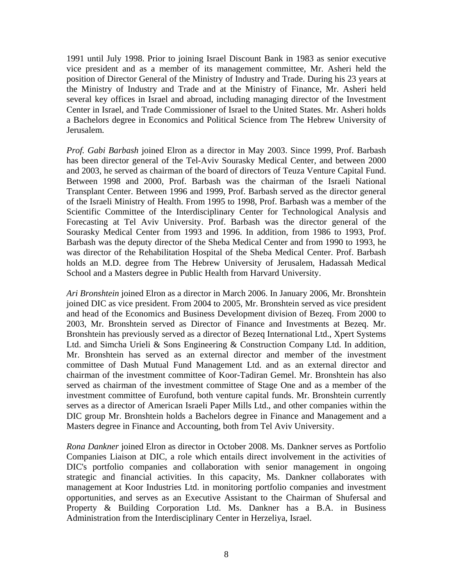1991 until July 1998. Prior to joining Israel Discount Bank in 1983 as senior executive vice president and as a member of its management committee, Mr. Asheri held the position of Director General of the Ministry of Industry and Trade. During his 23 years at the Ministry of Industry and Trade and at the Ministry of Finance, Mr. Asheri held several key offices in Israel and abroad, including managing director of the Investment Center in Israel, and Trade Commissioner of Israel to the United States. Mr. Asheri holds a Bachelors degree in Economics and Political Science from The Hebrew University of Jerusalem.

*Prof. Gabi Barbash* joined Elron as a director in May 2003. Since 1999, Prof. Barbash has been director general of the Tel-Aviv Sourasky Medical Center, and between 2000 and 2003, he served as chairman of the board of directors of Teuza Venture Capital Fund. Between 1998 and 2000, Prof. Barbash was the chairman of the Israeli National Transplant Center. Between 1996 and 1999, Prof. Barbash served as the director general of the Israeli Ministry of Health. From 1995 to 1998, Prof. Barbash was a member of the Scientific Committee of the Interdisciplinary Center for Technological Analysis and Forecasting at Tel Aviv University. Prof. Barbash was the director general of the Sourasky Medical Center from 1993 and 1996. In addition, from 1986 to 1993, Prof. Barbash was the deputy director of the Sheba Medical Center and from 1990 to 1993, he was director of the Rehabilitation Hospital of the Sheba Medical Center. Prof. Barbash holds an M.D. degree from The Hebrew University of Jerusalem, Hadassah Medical School and a Masters degree in Public Health from Harvard University.

*Ari Bronshtein* joined Elron as a director in March 2006. In January 2006, Mr. Bronshtein joined DIC as vice president. From 2004 to 2005, Mr. Bronshtein served as vice president and head of the Economics and Business Development division of Bezeq. From 2000 to 2003, Mr. Bronshtein served as Director of Finance and Investments at Bezeq. Mr. Bronshtein has previously served as a director of Bezeq International Ltd., Xpert Systems Ltd. and Simcha Urieli & Sons Engineering & Construction Company Ltd. In addition, Mr. Bronshtein has served as an external director and member of the investment committee of Dash Mutual Fund Management Ltd. and as an external director and chairman of the investment committee of Koor-Tadiran Gemel. Mr. Bronshtein has also served as chairman of the investment committee of Stage One and as a member of the investment committee of Eurofund, both venture capital funds. Mr. Bronshtein currently serves as a director of American Israeli Paper Mills Ltd., and other companies within the DIC group Mr. Bronshtein holds a Bachelors degree in Finance and Management and a Masters degree in Finance and Accounting, both from Tel Aviv University.

*Rona Dankner* joined Elron as director in October 2008. Ms. Dankner serves as Portfolio Companies Liaison at DIC, a role which entails direct involvement in the activities of DIC's portfolio companies and collaboration with senior management in ongoing strategic and financial activities. In this capacity, Ms. Dankner collaborates with management at Koor Industries Ltd. in monitoring portfolio companies and investment opportunities, and serves as an Executive Assistant to the Chairman of Shufersal and Property & Building Corporation Ltd. Ms. Dankner has a B.A. in Business Administration from the Interdisciplinary Center in Herzeliya, Israel.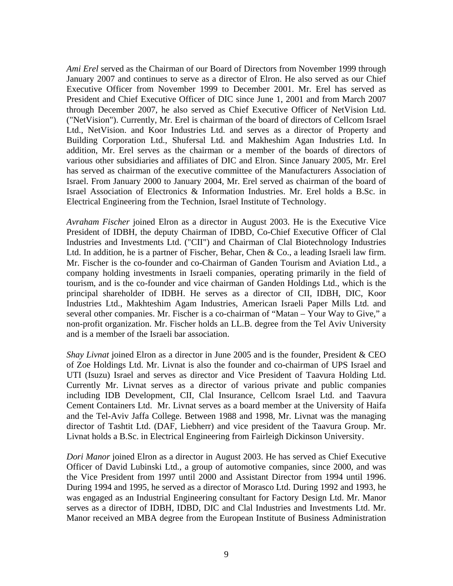*Ami Erel* served as the Chairman of our Board of Directors from November 1999 through January 2007 and continues to serve as a director of Elron. He also served as our Chief Executive Officer from November 1999 to December 2001. Mr. Erel has served as President and Chief Executive Officer of DIC since June 1, 2001 and from March 2007 through December 2007, he also served as Chief Executive Officer of NetVision Ltd. ("NetVision"). Currently, Mr. Erel is chairman of the board of directors of Cellcom Israel Ltd., NetVision. and Koor Industries Ltd. and serves as a director of Property and Building Corporation Ltd., Shufersal Ltd. and Makheshim Agan Industries Ltd. In addition, Mr. Erel serves as the chairman or a member of the boards of directors of various other subsidiaries and affiliates of DIC and Elron. Since January 2005, Mr. Erel has served as chairman of the executive committee of the Manufacturers Association of Israel. From January 2000 to January 2004, Mr. Erel served as chairman of the board of Israel Association of Electronics & Information Industries. Mr. Erel holds a B.Sc. in Electrical Engineering from the Technion, Israel Institute of Technology.

*Avraham Fischer* joined Elron as a director in August 2003. He is the Executive Vice President of IDBH, the deputy Chairman of IDBD, Co-Chief Executive Officer of Clal Industries and Investments Ltd. ("CII") and Chairman of Clal Biotechnology Industries Ltd. In addition, he is a partner of Fischer, Behar, Chen & Co., a leading Israeli law firm. Mr. Fischer is the co-founder and co-Chairman of Ganden Tourism and Aviation Ltd., a company holding investments in Israeli companies, operating primarily in the field of tourism, and is the co-founder and vice chairman of Ganden Holdings Ltd., which is the principal shareholder of IDBH. He serves as a director of CII, IDBH, DIC, Koor Industries Ltd., Makhteshim Agam Industries, American Israeli Paper Mills Ltd. and several other companies. Mr. Fischer is a co-chairman of "Matan – Your Way to Give," a non-profit organization. Mr. Fischer holds an LL.B. degree from the Tel Aviv University and is a member of the Israeli bar association.

*Shay Livnat* joined Elron as a director in June 2005 and is the founder, President & CEO of Zoe Holdings Ltd. Mr. Livnat is also the founder and co-chairman of UPS Israel and UTI (Isuzu) Israel and serves as director and Vice President of Taavura Holding Ltd. Currently Mr. Livnat serves as a director of various private and public companies including IDB Development, CII, Clal Insurance, Cellcom Israel Ltd. and Taavura Cement Containers Ltd. Mr. Livnat serves as a board member at the University of Haifa and the Tel-Aviv Jaffa College. Between 1988 and 1998, Mr. Livnat was the managing director of Tashtit Ltd. (DAF, Liebherr) and vice president of the Taavura Group. Mr. Livnat holds a B.Sc. in Electrical Engineering from Fairleigh Dickinson University.

*Dori Manor* joined Elron as a director in August 2003. He has served as Chief Executive Officer of David Lubinski Ltd., a group of automotive companies, since 2000, and was the Vice President from 1997 until 2000 and Assistant Director from 1994 until 1996. During 1994 and 1995, he served as a director of Morasco Ltd. During 1992 and 1993, he was engaged as an Industrial Engineering consultant for Factory Design Ltd. Mr. Manor serves as a director of IDBH, IDBD, DIC and Clal Industries and Investments Ltd. Mr. Manor received an MBA degree from the European Institute of Business Administration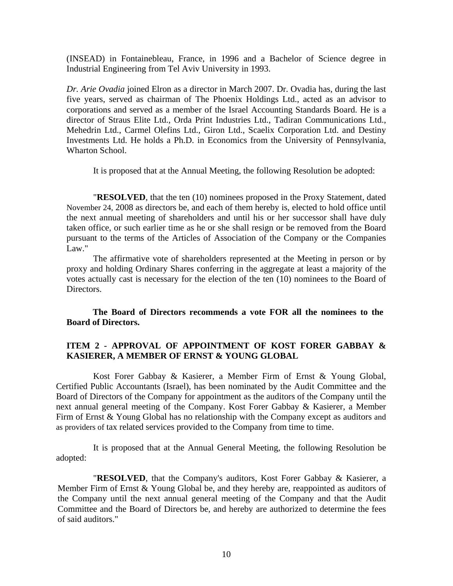(INSEAD) in Fontainebleau, France, in 1996 and a Bachelor of Science degree in Industrial Engineering from Tel Aviv University in 1993.

*Dr. Arie Ovadia* joined Elron as a director in March 2007. Dr. Ovadia has, during the last five years, served as chairman of The Phoenix Holdings Ltd., acted as an advisor to corporations and served as a member of the Israel Accounting Standards Board. He is a director of Straus Elite Ltd., Orda Print Industries Ltd., Tadiran Communications Ltd., Mehedrin Ltd., Carmel Olefins Ltd., Giron Ltd., Scaelix Corporation Ltd. and Destiny Investments Ltd. He holds a Ph.D. in Economics from the University of Pennsylvania, Wharton School.

It is proposed that at the Annual Meeting, the following Resolution be adopted:

"**RESOLVED**, that the ten (10) nominees proposed in the Proxy Statement, dated November 24, 2008 as directors be, and each of them hereby is, elected to hold office until the next annual meeting of shareholders and until his or her successor shall have duly taken office, or such earlier time as he or she shall resign or be removed from the Board pursuant to the terms of the Articles of Association of the Company or the Companies Law."

The affirmative vote of shareholders represented at the Meeting in person or by proxy and holding Ordinary Shares conferring in the aggregate at least a majority of the votes actually cast is necessary for the election of the ten (10) nominees to the Board of Directors.

**The Board of Directors recommends a vote FOR all the nominees to the Board of Directors.** 

#### **ITEM 2 - APPROVAL OF APPOINTMENT OF KOST FORER GABBAY & KASIERER, A MEMBER OF ERNST & YOUNG GLOBAL**

Kost Forer Gabbay & Kasierer, a Member Firm of Ernst & Young Global, Certified Public Accountants (Israel), has been nominated by the Audit Committee and the Board of Directors of the Company for appointment as the auditors of the Company until the next annual general meeting of the Company. Kost Forer Gabbay & Kasierer, a Member Firm of Ernst & Young Global has no relationship with the Company except as auditors and as providers of tax related services provided to the Company from time to time.

It is proposed that at the Annual General Meeting, the following Resolution be adopted:

"**RESOLVED**, that the Company's auditors, Kost Forer Gabbay & Kasierer, a Member Firm of Ernst & Young Global be, and they hereby are, reappointed as auditors of the Company until the next annual general meeting of the Company and that the Audit Committee and the Board of Directors be, and hereby are authorized to determine the fees of said auditors."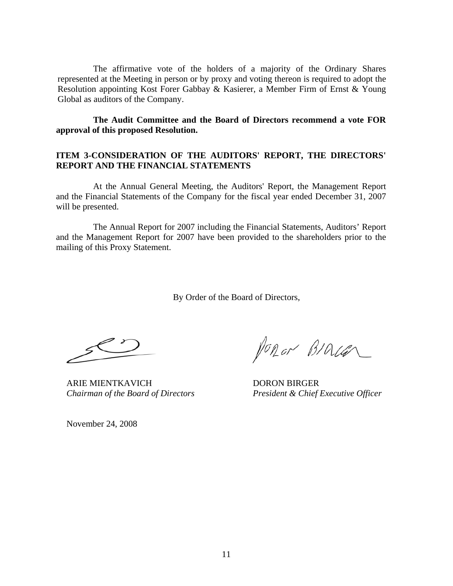The affirmative vote of the holders of a majority of the Ordinary Shares represented at the Meeting in person or by proxy and voting thereon is required to adopt the Resolution appointing Kost Forer Gabbay & Kasierer, a Member Firm of Ernst & Young Global as auditors of the Company.

#### **The Audit Committee and the Board of Directors recommend a vote FOR approval of this proposed Resolution.**

#### **ITEM 3-CONSIDERATlON OF THE AUDITORS' REPORT, THE DIRECTORS' REPORT AND THE FINANCIAL STATEMENTS**

At the Annual General Meeting, the Auditors' Report, the Management Report and the Financial Statements of the Company for the fiscal year ended December 31, 2007 will be presented.

The Annual Report for 2007 including the Financial Statements, Auditors' Report and the Management Report for 2007 have been provided to the shareholders prior to the mailing of this Proxy Statement.

By Order of the Board of Directors,

ARIE MIENTKAVICH DORON BIRGER

PORON BIALLER

*Chairman of the Board of Directors President & Chief Executive Officer* 

November 24, 2008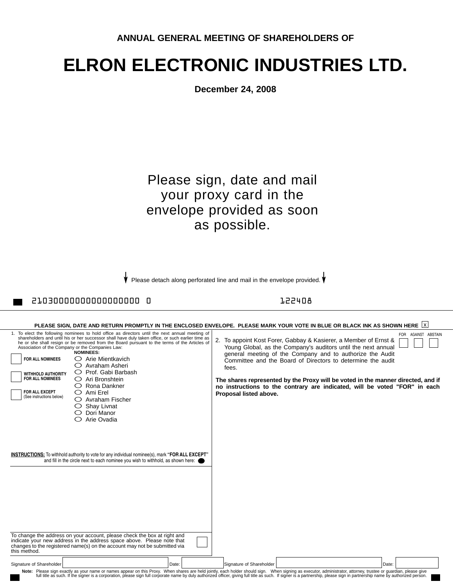|--|

# **ELRON ELECTRONIC INDUSTRIES LTD.**

**December 24, 2008**

## Please sign, date and mail your proxy card in the envelope provided as soon as possible.

Please detach along perforated line and mail in the envelope provided.

21030000000000000000 0 122408

| PLEASE SIGN, DATE AND RETURN PROMPTLY IN THE ENCLOSED ENVELOPE. PLEASE MARK YOUR VOTE IN BLUE OR BLACK INK AS SHOWN HERE  X                                                                                                                                                                                                                                                                                                                                                                                                                                                                                                                                                                                                                                                                                                                                                                                                                                                                                                                                                                                                                                                                                           |                                                                                                                                                                                                                                                                                                                                                                                                                                                                                           |  |  |  |
|-----------------------------------------------------------------------------------------------------------------------------------------------------------------------------------------------------------------------------------------------------------------------------------------------------------------------------------------------------------------------------------------------------------------------------------------------------------------------------------------------------------------------------------------------------------------------------------------------------------------------------------------------------------------------------------------------------------------------------------------------------------------------------------------------------------------------------------------------------------------------------------------------------------------------------------------------------------------------------------------------------------------------------------------------------------------------------------------------------------------------------------------------------------------------------------------------------------------------|-------------------------------------------------------------------------------------------------------------------------------------------------------------------------------------------------------------------------------------------------------------------------------------------------------------------------------------------------------------------------------------------------------------------------------------------------------------------------------------------|--|--|--|
| 1. To elect the following nominees to hold office as directors until the next annual meeting of<br>shareholders and until his or her successor shall have duly taken office, or such earlier time as<br>he or she shall resign or be removed from the Board pursuant to the terms of the Articles of<br>Association of the Company or the Companies Law:<br>NOMINEES:<br>$\bigcirc$ Arie Mientkavich<br><b>FOR ALL NOMINEES</b><br>$\bigcirc$ Avraham Asheri<br>$\bigcirc$ Prof. Gabi Barbash<br><b>WITHHOLD AUTHORITY</b><br><b>FOR ALL NOMINEES</b><br>$\bigcirc$ Ari Bronshtein<br>$\bigcirc$ Rona Dankner<br>FOR ALL EXCEPT<br>$\bigcirc$ Ami Erel<br>(See instructions below)<br>$\bigcirc$ Avraham Fischer<br>$\circ$ Shay Livnat<br>$\bigcirc$ Dori Manor<br>$\bigcirc$ Arie Ovadia<br>INSTRUCTIONS: To withhold authority to vote for any individual nominee(s), mark "FOR ALL EXCEPT"<br>and fill in the circle next to each nominee you wish to withhold, as shown here:<br>To change the address on your account, please check the box at right and<br>indicate your new address in the address space above. Please note that<br>changes to the registered name(s) on the account may not be submitted via | FOR AGAINST ABSTAIN<br>2. To appoint Kost Forer, Gabbay & Kasierer, a Member of Ernst &<br>Young Global, as the Company's auditors until the next annual<br>general meeting of the Company and to authorize the Audit<br>Committee and the Board of Directors to determine the audit<br>fees.<br>The shares represented by the Proxy will be voted in the manner directed, and if<br>no instructions to the contrary are indicated, will be voted "FOR" in each<br>Proposal listed above. |  |  |  |
| this method.                                                                                                                                                                                                                                                                                                                                                                                                                                                                                                                                                                                                                                                                                                                                                                                                                                                                                                                                                                                                                                                                                                                                                                                                          |                                                                                                                                                                                                                                                                                                                                                                                                                                                                                           |  |  |  |
| Date:<br>Signature of Shareholder                                                                                                                                                                                                                                                                                                                                                                                                                                                                                                                                                                                                                                                                                                                                                                                                                                                                                                                                                                                                                                                                                                                                                                                     | Signature of Shareholder<br>Date:                                                                                                                                                                                                                                                                                                                                                                                                                                                         |  |  |  |
|                                                                                                                                                                                                                                                                                                                                                                                                                                                                                                                                                                                                                                                                                                                                                                                                                                                                                                                                                                                                                                                                                                                                                                                                                       | Note: Please sign exactly as your name or names appear on this Proxy. When shares are held jointly, each holder should sign. When signing as executor, administrator, attorney, trustee or guardian, please give<br>full title as such. If the signer is a corporation, please sign full corporate name by duly authorized officer, giving full title as such. If signer is a partnership, please sign in partnership name by authorized person.                                          |  |  |  |